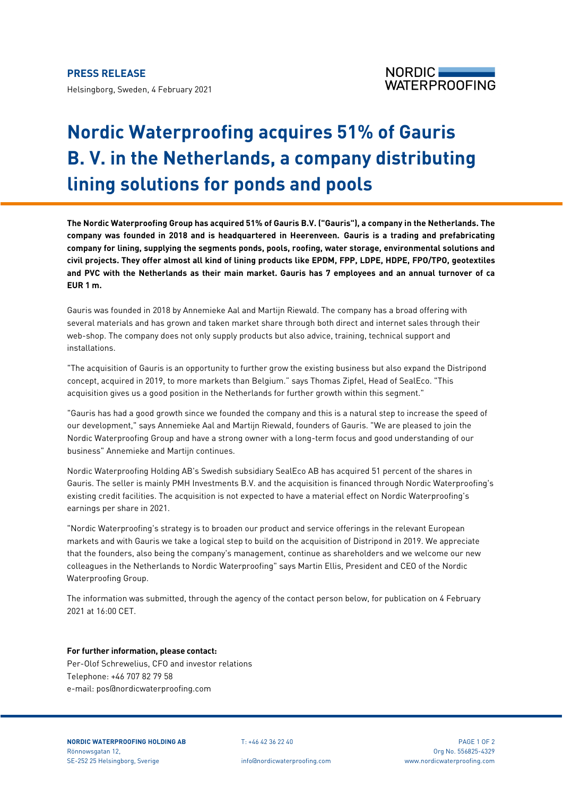## **PRESS RELEASE**

Helsingborg, Sweden, 4 February 2021



# **Nordic Waterproofing acquires 51% of Gauris B. V. in the Netherlands, a company distributing lining solutions for ponds and pools**

**The Nordic Waterproofing Group has acquired 51% of Gauris B.V. ("Gauris"), a company in the Netherlands. The company was founded in 2018 and is headquartered in Heerenveen. Gauris is a trading and prefabricating company for lining, supplying the segments ponds, pools, roofing, water storage, environmental solutions and civil projects. They offer almost all kind of lining products like EPDM, FPP, LDPE, HDPE, FPO/TPO, geotextiles and PVC with the Netherlands as their main market. Gauris has 7 employees and an annual turnover of ca EUR 1 m.** 

Gauris was founded in 2018 by Annemieke Aal and Martijn Riewald. The company has a broad offering with several materials and has grown and taken market share through both direct and internet sales through their web-shop. The company does not only supply products but also advice, training, technical support and installations.

"The acquisition of Gauris is an opportunity to further grow the existing business but also expand the Distripond concept, acquired in 2019, to more markets than Belgium." says Thomas Zipfel, Head of SealEco. "This acquisition gives us a good position in the Netherlands for further growth within this segment."

"Gauris has had a good growth since we founded the company and this is a natural step to increase the speed of our development," says Annemieke Aal and Martijn Riewald, founders of Gauris. "We are pleased to join the Nordic Waterproofing Group and have a strong owner with a long-term focus and good understanding of our business" Annemieke and Martijn continues.

Nordic Waterproofing Holding AB's Swedish subsidiary SealEco AB has acquired 51 percent of the shares in Gauris. The seller is mainly PMH Investments B.V. and the acquisition is financed through Nordic Waterproofing's existing credit facilities. The acquisition is not expected to have a material effect on Nordic Waterproofing's earnings per share in 2021.

"Nordic Waterproofing's strategy is to broaden our product and service offerings in the relevant European markets and with Gauris we take a logical step to build on the acquisition of Distripond in 2019. We appreciate that the founders, also being the company's management, continue as shareholders and we welcome our new colleagues in the Netherlands to Nordic Waterproofing" says Martin Ellis, President and CEO of the Nordic Waterproofing Group.

The information was submitted, through the agency of the contact person below, for publication on 4 February 2021 at 16:00 CET.

## **For further information, please contact:**

Per-Olof Schrewelius, CFO and investor relations Telephone: +46 707 82 79 58 e-mail: pos@nordicwaterproofing.com